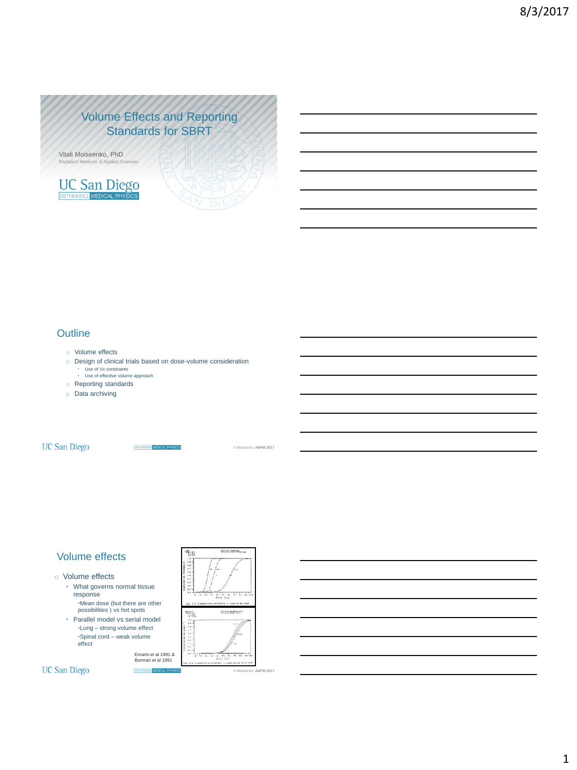# Volume Effects and Reporting Standards for SBRT

Vitali Moiseenko, PhD n Medicine & Applied Sc



### **Outline**

- o Volume effects
- o Design of clinical trials based on dose-volume consideration • Use of Vx constraints • Use of effective volume approach
	-
- o Reporting standards
- o Data archiving

**UC San Diego** 

**RETHNANS MEDICAL PHYSK** 

V.Moiseenko AAPM 2017

the freezees.

ko AAPM 2017

### Volume effects

### o Volume effects

- What governs normal tissue response
- •Mean dose (but there are other possibilities ) vs hot spots • Parallel model vs serial model
- •Lung strong volume effect •Spinal cord – weak volume effect

Emami et al 1991 & Burman et al 1991

g.<br>Sta

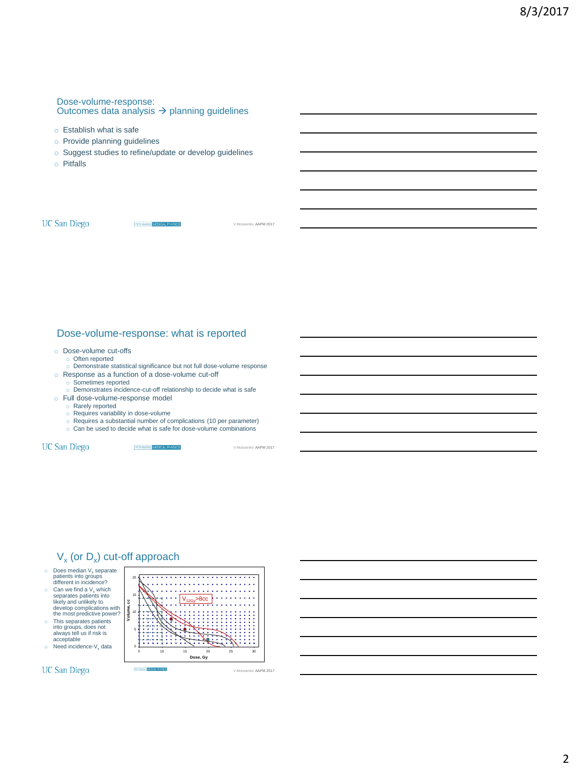### Dose-volume-response: Outcomes data analysis  $\rightarrow$  planning guidelines

- o Establish what is safe
- o Provide planning guidelines
- o Suggest studies to refine/update or develop guidelines
- o Pitfalls

**UC San Diego** 

RETHNANG MEDICAL PHYSICS

### Dose-volume-response: what is reported

- o Dose-volume cut-offs
	- o Often reported
	- o Demonstrate statistical significance but not full dose-volume response
- o Response as a function of a dose-volume cut-off
	- o Sometimes reported
- Demonstrates incidence-cut-off relationship to decide what is safe o Full dose-volume-response model
	- o Rarely reported
	- o Requires variability in dose-volume
	- o Requires a substantial number of complications (10 per parameter)
	- o Can be used to decide what is safe for dose-volume combinations

**UC San Diego** 

**RETHINKINS MEDICAL PHYSICS** 

V.Moiseenko AAPM 2017

V.Moiseenko AAPM 2017

# $V_{x}$  (or  $D_{x}$ ) cut-off approach

- $\circ$  Does median  $V_x$  separate patients into groups different in incidence?
- $\circ$  Can we find a V<sub>x</sub> which<br>
separates patients into<br>
likely and unlikely to<br>
develop complications with<br>
the most predictive power?
- o This separates patients into groups, does not always tell us if risk is acceptable
- $\circ$  Need incidence-V<sub>x</sub> data

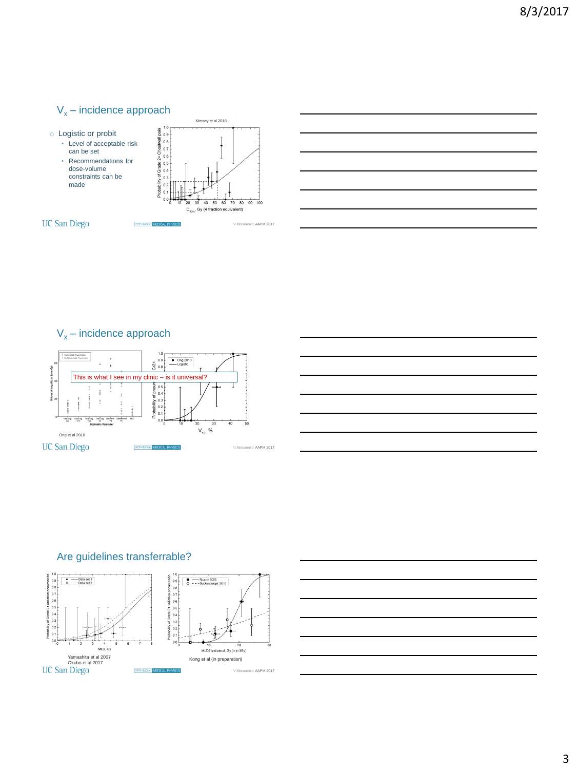## $V_x$  – incidence approach



# $V_x$  – incidence approach



## Are guidelines transferrable?



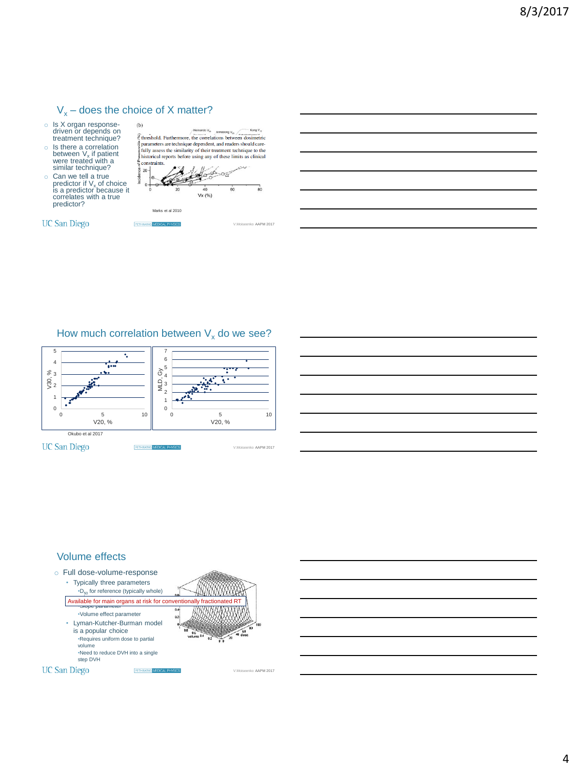# $V_x$  – does the choice of X matter?

RETHNANG MEDIC

- o Is X organ response-driven or depends on treatment technique?
- $\circ$  Is there a correlation<br>between  $V_x$  if patient<br>were treated with a<br>similar technique?
- $\circ$  Can we tell a true<br>predictor if  $V_x$  of choice<br>is a predictor because it correlates with a true predictor?

**UC San Diego** 

 $(b)$ Kong V.  $\overbrace{\mathcal{E}}^{\text{Hernando V}_{10}}\overbrace{\mathcal{E}}^{\text{Hernando V}_{10}}\overbrace{\mathcal{E}}^{\text{Kornado V}_{10}}\overbrace{\mathcal{E}}^{\text{Korn V}_{10}}\overbrace{\mathcal{E}}^{\text{Korn V}_{10}}$ parameters are technique dependent, and readers should carefully assess the similarity of their treatment technique to the historical reports before using any of these limits as clinical constraints.  $20 \alpha \rightarrow \alpha$ ۹  $40$ 6C  $Vx(%)$ Marks et al 2010

ko AAPM 2017

## How much correlation between  $V_x$  do we see?



### Volume effects



volume •Slope parameter Available for main organs at risk for conventionally fractionated RT•Volume effect parameter • Lyman-Kutcher-Burman model is a popular choice •Requires uniform dose to partial volume •Need to reduce DVH into a single step DVH

RETHNANG MEDIC



V.Moiseenko AAPM 2017

**UC San Diego** 

4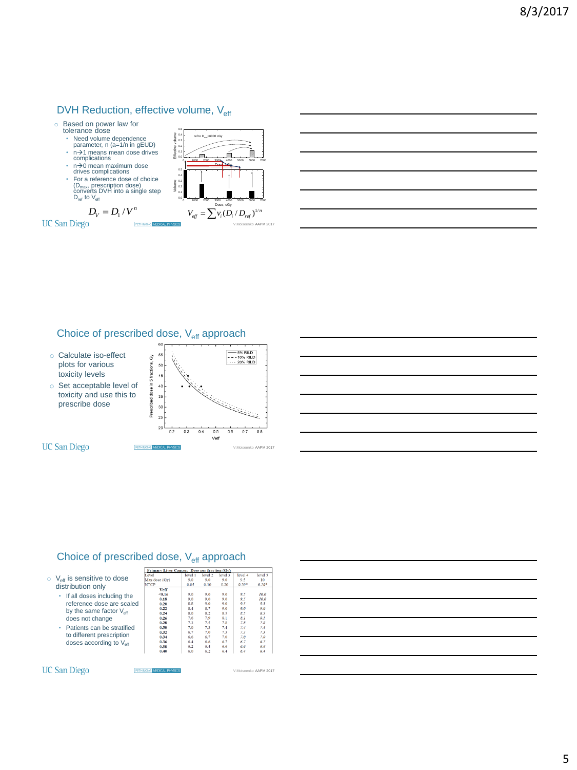# DVH Reduction, effective volume, V<sub>eff</sub>

**RETHNKING** 

- o Based on power law for tolerance dose
	- Need volume dependence parameter, n (a=1/n in gEUD)
	-
	- n $\rightarrow$ 1 means mean dose drives<br>
	 n $\rightarrow$ 0 mean maximum dose<br>
	drives complications
	- For a reference dose of choice  $(D_{\text{max}})$  prescription dose)<br>converts DVH into a single step  $D_{\text{ref}}$  to  $V_{\text{eff}}$

 $D_V = D_1 / V^n$ 



"F - $0.3$ 

0.1 0.2 0.3 0.4 0.5

Approximate DVH

ref to  $D_{\text{max}}$ =6000 cGy

### Choice of prescribed dose, V<sub>eff</sub> approach





### Choice of prescribed dose, V<sub>eff</sub> approach

**RETHNANG** MEDICAL

|         |                                                       | T.evel        | level 1 | level 2 | le |  |
|---------|-------------------------------------------------------|---------------|---------|---------|----|--|
| $\circ$ | $V_{\text{eff}}$ is sensitive to dose                 | Max dose (Gy) | 9.0     | 9.0     |    |  |
|         | distribution only                                     | <b>NTCP</b>   | 0.05    | 0.10    |    |  |
|         |                                                       | Veff          |         |         |    |  |
|         | • If all doses including the                          | < 0.16        | 0.0     | 9.0     |    |  |
|         |                                                       | 0.18          | 9.0     | 9.0     |    |  |
|         | reference dose are scaled                             | 0.20          | 8.8     | 9.0     |    |  |
|         | by the same factor $V_{\text{eff}}$                   | 0.22          | 8.4     | 8.7     |    |  |
|         | does not change<br>Patients can be stratified<br>٠    | 0.24          | 8.0     | 8.2     |    |  |
|         |                                                       | 0.26          | 7.6     | 7.9     |    |  |
|         |                                                       | 0.28          | 7.3     | 7.5     |    |  |
|         |                                                       | 0.30          | 7.0     | 7.3     |    |  |
|         | the contract to the contract of the state of the con- | 0.32          |         | 7.0     |    |  |



| T.evel        | level 1 | level 2 | level 3 | level 4 | level 5 |
|---------------|---------|---------|---------|---------|---------|
| Max dose (Gy) | 9.0     | 9.0     | 9.0     | 9.5     | 10      |
| <b>NTCP</b>   | 0.05    | 0.10    | 0.20    | $0.20*$ | $0.20*$ |
| Veff          |         |         |         |         |         |
| < 0.16        | 9.0     | 9.0     | 9.0     | 9.5     | 10.0    |
| 0.18          | 0.0     | 9.0     | 0.0     | 0.5     | 10.0    |
| 0.20          | 8.8     | 9.0     | 9.0     | 9.5     | 9.5     |
| 0.22          | 8.4     | 8.7     | 9.0     | 9.0     | 9.0     |
| 0.24          | 8.0     | 8.2     | 8.5     | 8.5     | 8.5     |
| 0.26          | 7.6     | 7.9     | 8.1     | 8.1     | 8.1     |
| 0.28          | 7.3     | 7.5     | 7.8     | 7.8     | 7.8     |
| 0.30          | 7.0     | 7.3     | 7.4     | 7.4     | 7.4     |
| 0.32          | 6.7     | 7.0     | 7.3     | 7.3     | 7.3     |
| 0.34          | 6.6     | 6.7     | 7.0     | 7.0     | 7.0     |
| 0.36          | 6.4     | 6.6     | 6.7     | 6.7     | 6.7     |
| 0.38          | 6.2     | 6.4     | 6.6     | 6.6     | 6.6     |
| 0.40          | 6.0     | 6.2     | 6.4     | 6.4     | 6.4     |

V.Moiseenko AAPM 2017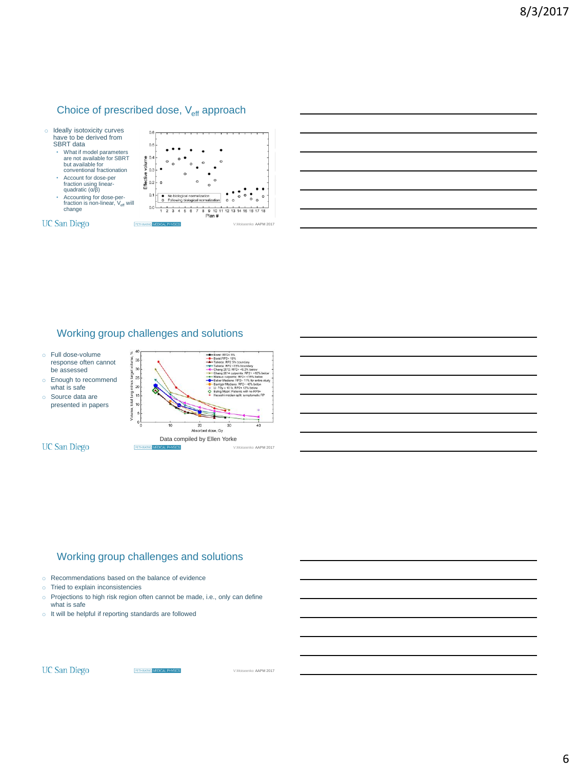## Choice of prescribed dose, V<sub>eff</sub> approach



## Working group challenges and solutions

- o Full dose-volume response often cannot be assessed
- o Enough to recommend what is safe
- o Source data are presented in papers

**UC San Diego** 



## Working group challenges and solutions

- o Recommendations based on the balance of evidence
- o Tried to explain inconsistencies
- o Projections to high risk region often cannot be made, i.e., only can define what is safe

RETHNANG MEDICAL

o It will be helpful if reporting standards are followed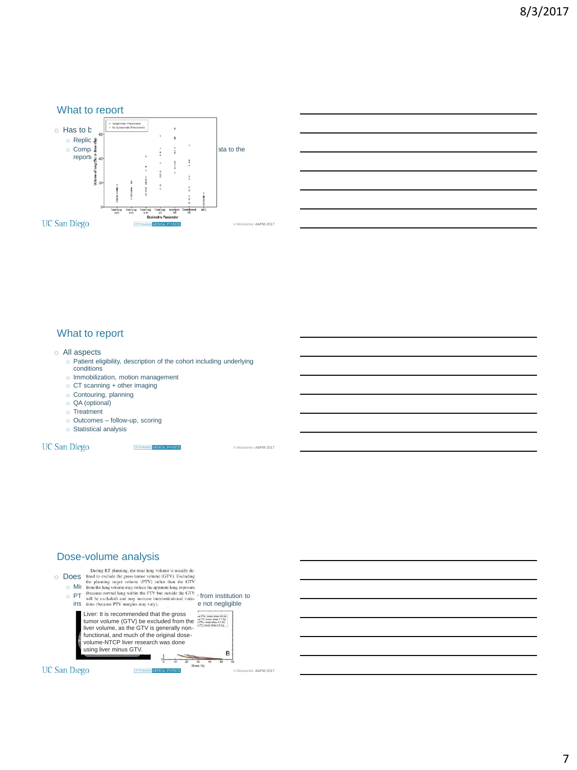



### What to report

### o All aspects

o Patient eligibility, description of the cohort including underlying conditions

**RETHNANS MEDICAL R** 

- o Immobilization, motion management
- o CT scanning + other imaging
- o Contouring, planning
- o QA (optional)
- o Treatment
- o Outcomes follow-up, scoring
- o Statistical analysis

### **UC San Diego**

V.Moiseenko AAPM 2017

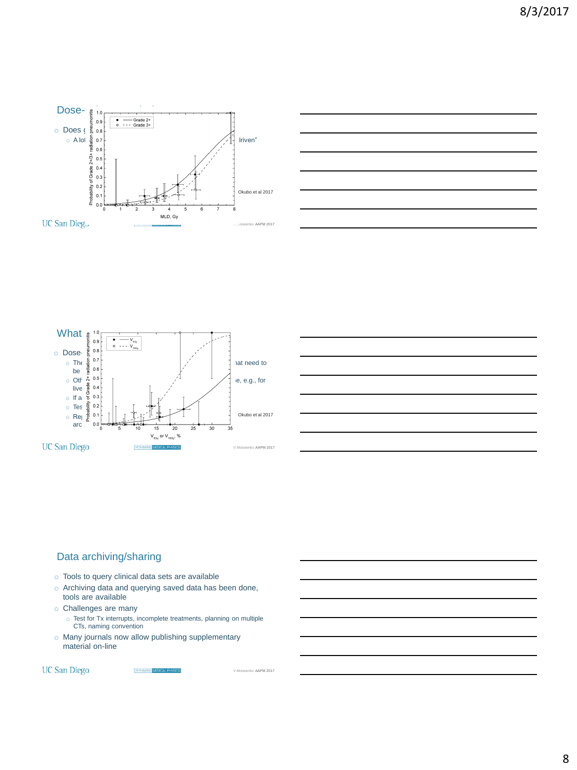







## Data archiving/sharing

- o Tools to query clinical data sets are available
- o Archiving data and querying saved data has been done, tools are available
- o Challenges are many
- o Test for Tx interrupts, incomplete treatments, planning on multiple CTs, naming convention
- o Many journals now allow publishing supplementary material on-line

RETHNANG MEDIC

**UC San Diego** 

V.Moiseenko AAPM 2017